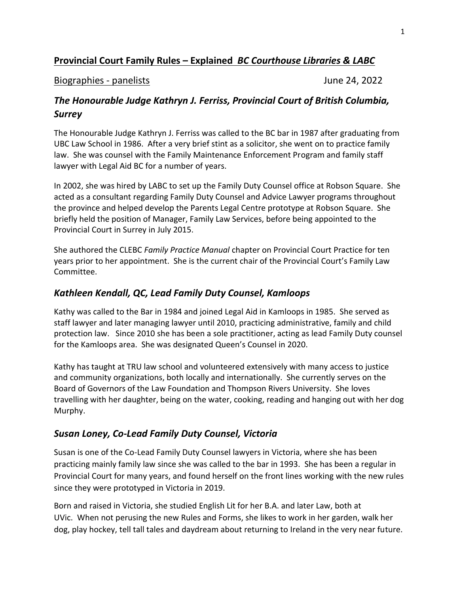# **Provincial Court Family Rules – Explained** *BC Courthouse Libraries & LABC*

#### Biographies - panelists June 24, 2022

## *The Honourable Judge Kathryn J. Ferriss, Provincial Court of British Columbia, Surrey*

The Honourable Judge Kathryn J. Ferriss was called to the BC bar in 1987 after graduating from UBC Law School in 1986. After a very brief stint as a solicitor, she went on to practice family law. She was counsel with the Family Maintenance Enforcement Program and family staff lawyer with Legal Aid BC for a number of years.

In 2002, she was hired by LABC to set up the Family Duty Counsel office at Robson Square. She acted as a consultant regarding Family Duty Counsel and Advice Lawyer programs throughout the province and helped develop the Parents Legal Centre prototype at Robson Square. She briefly held the position of Manager, Family Law Services, before being appointed to the Provincial Court in Surrey in July 2015.

She authored the CLEBC *Family Practice Manual* chapter on Provincial Court Practice for ten years prior to her appointment. She is the current chair of the Provincial Court's Family Law Committee.

### *Kathleen Kendall, QC, Lead Family Duty Counsel, Kamloops*

Kathy was called to the Bar in 1984 and joined Legal Aid in Kamloops in 1985. She served as staff lawyer and later managing lawyer until 2010, practicing administrative, family and child protection law. Since 2010 she has been a sole practitioner, acting as lead Family Duty counsel for the Kamloops area. She was designated Queen's Counsel in 2020.

Kathy has taught at TRU law school and volunteered extensively with many access to justice and community organizations, both locally and internationally. She currently serves on the Board of Governors of the Law Foundation and Thompson Rivers University. She loves travelling with her daughter, being on the water, cooking, reading and hanging out with her dog Murphy.

### *Susan Loney, Co-Lead Family Duty Counsel, Victoria*

Susan is one of the Co-Lead Family Duty Counsel lawyers in Victoria, where she has been practicing mainly family law since she was called to the bar in 1993. She has been a regular in Provincial Court for many years, and found herself on the front lines working with the new rules since they were prototyped in Victoria in 2019.

Born and raised in Victoria, she studied English Lit for her B.A. and later Law, both at UVic. When not perusing the new Rules and Forms, she likes to work in her garden, walk her dog, play hockey, tell tall tales and daydream about returning to Ireland in the very near future.